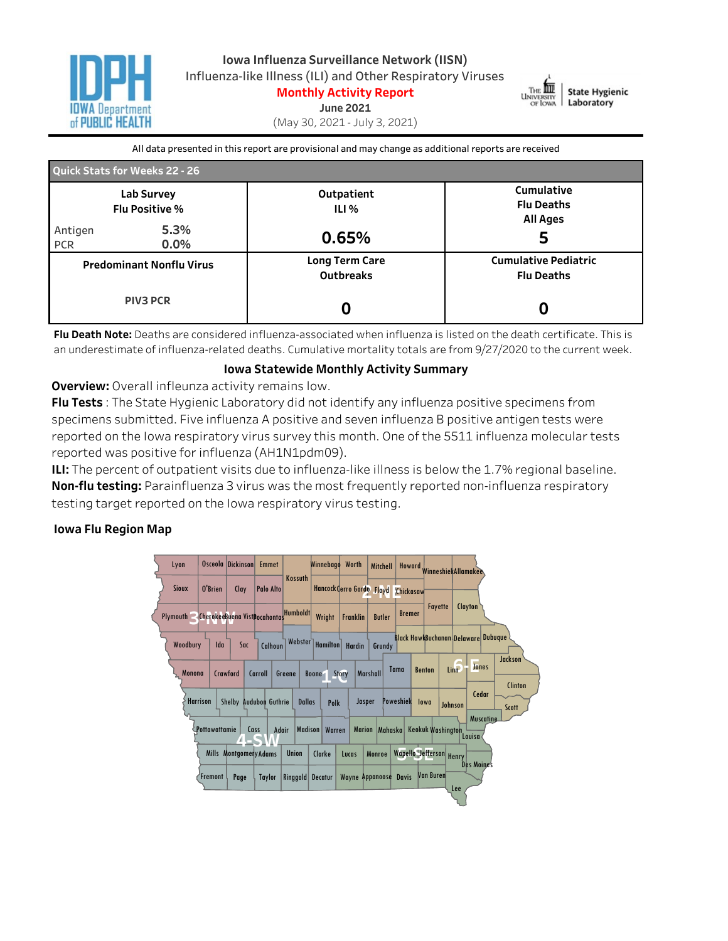



**Monthly Activity Report June2021**

(May30,2021-July3,2021)

All data presented in this report are provisional and may change as additional reports are received

| <b>Quick Stats for Weeks 22 - 26</b>               |                 |                                    |                                                    |  |  |  |  |
|----------------------------------------------------|-----------------|------------------------------------|----------------------------------------------------|--|--|--|--|
| Lab Survey<br><b>Flu Positive %</b>                |                 | Outpatient<br>ILI%                 | Cumulative<br><b>Flu Deaths</b><br><b>All Ages</b> |  |  |  |  |
| Antigen<br><b>PCR</b>                              | 5.3%<br>$0.0\%$ | 0.65%                              | 5                                                  |  |  |  |  |
| <b>Predominant Nonflu Virus</b><br><b>PIV3 PCR</b> |                 | Long Term Care<br><b>Outbreaks</b> | <b>Cumulative Pediatric</b><br><b>Flu Deaths</b>   |  |  |  |  |
|                                                    |                 |                                    |                                                    |  |  |  |  |

Flu Death Note: Deaths are considered influenza-associated when influenza is listed on the death certificate. This is an underestimate of influenza-related deaths. Cumulative mortality totals are from 9/27/2020 to the current week.

## **Iowa Statewide Monthly Activity Summary**

**Overview:** Overall infleunza activity remains low.

**Flu Tests**: The State Hygienic Laboratory did not identify any influenza positive specimens from specimens submitted. Five influenza A positive and seven influenza B positive antigen tests were reported on the Iowa respiratory virus survey this month. One of the 5511 influenza molecular tests reported was positive for influenza (AH1N1pdm09).

**ILI:** The percent of outpatient visits due to influenza-like illness is below the 1.7% regional baseline. **Non-flu testing:** Parainfluenza 3 virus was the most frequently reported non-influenza respiratory testing target reported on the Iowa respiratory virus testing.

## **Iowa Flu Region Map**

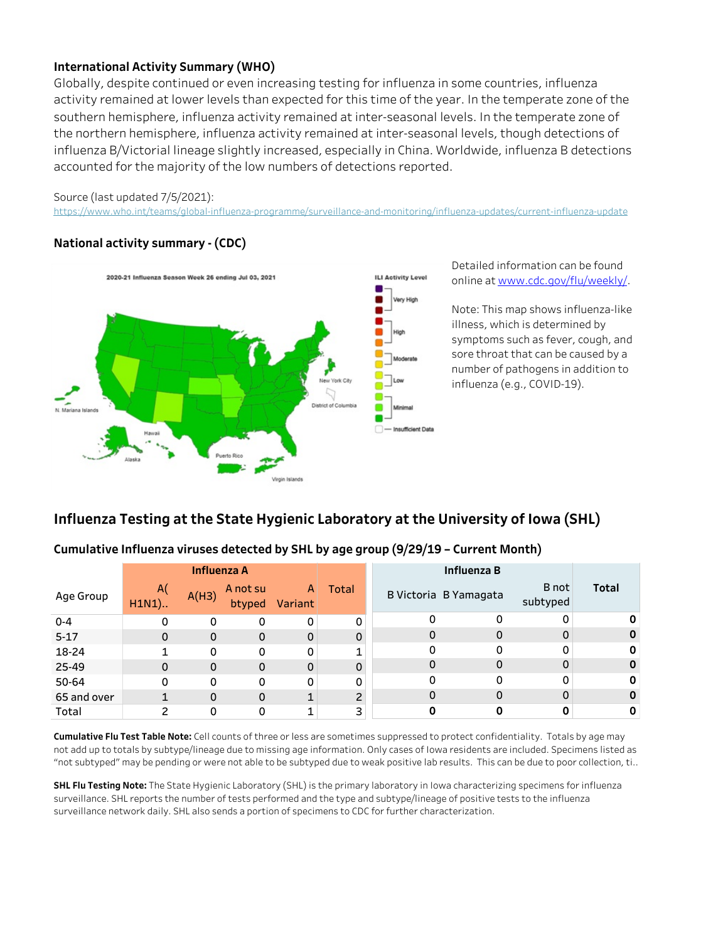## **International Activity Summary (WHO)**

Globally, despite continued or even increasing testing for influenza in some countries, influenza activity remained at lower levels than expected for this time of the year. In the temperate zone of the southern hemisphere, influenza activity remained at inter-seasonal levels. In the temperate zone of the northern hemisphere, influenza activity remained at inter-seasonal levels, though detections of influenza B/Victorial lineage slightly increased, especially in China. Worldwide, influenza B detections accounted for the majority of the low numbers of detections reported.

#### Source (last updated 7/5/2021):

https://www.who.int/teams/global-influenza-programme/surveillance-and-monitoring/influenza-updates/current-influenza-update

# **Nationalactivitysummary-(CDC)**



Detailed information can be found onlineatwww.cdc.gov/flu/weekly/.

Note: This map shows influenza-like illness, which is determined by symptoms such as fever, cough, and sore throat that can be caused by a number of pathogens in addition to influenza(e.g.,COVID-19).

# **Influenza Testing at the State Hygienic Laboratory at the University of Iowa (SHL)**

# Cumulative Influenza viruses detected by SHL by age group (9/29/19 - Current Month)

|             | <b>Influenza A</b> |             |                    |              | Influenza B    |          |                       |                   |              |
|-------------|--------------------|-------------|--------------------|--------------|----------------|----------|-----------------------|-------------------|--------------|
| Age Group   | A(<br>$H1N1$ )     | A(H3)       | A not su<br>btyped | A<br>Variant | Total          |          | B Victoria B Yamagata | B not<br>subtyped | <b>Total</b> |
| $0 - 4$     | 0                  | 0           | 0                  | 0            | 0              |          | 0                     | 0                 |              |
| $5 - 17$    | 0                  | 0           | 0                  | 0            | $\mathbf 0$    | 0        | 0                     | 0                 |              |
| 18-24       |                    | 0           | 0                  | 0            | 1              | $\Omega$ | 0                     | 0                 |              |
| 25-49       | 0                  | 0           | $\Omega$           | 0            | $\mathbf 0$    | $\Omega$ | 0                     | $\mathbf 0$       |              |
| 50-64       | 0                  | 0           | 0                  | 0            | 0              | $\Omega$ | 0                     | 0                 |              |
| 65 and over |                    | $\mathbf 0$ | $\Omega$           | 1            | $\overline{c}$ |          | 0                     | $\mathbf 0$       |              |
| Total       | ົ                  |             | 0                  |              | 3              |          |                       |                   |              |

Cumulative Flu Test Table Note: Cell counts of three or less are sometimes suppressed to protect confidentiality. Totals by age may not add up to totals by subtype/lineage due to missing age information. Only cases of Iowa residents are included. Specimens listed as "not subtyped" may be pending or were not able to be subtyped due to weak positive lab results. This can be due to poor collection, ti..

**SHL Flu Testing Note:** The State Hygienic Laboratory (SHL) is the primary laboratory in Iowa characterizing specimens for influenza surveillance. SHL reports the number of tests performed and the type and subtype/lineage of positive tests to the influenza surveillance network daily. SHL also sends a portion of specimens to CDC for further characterization.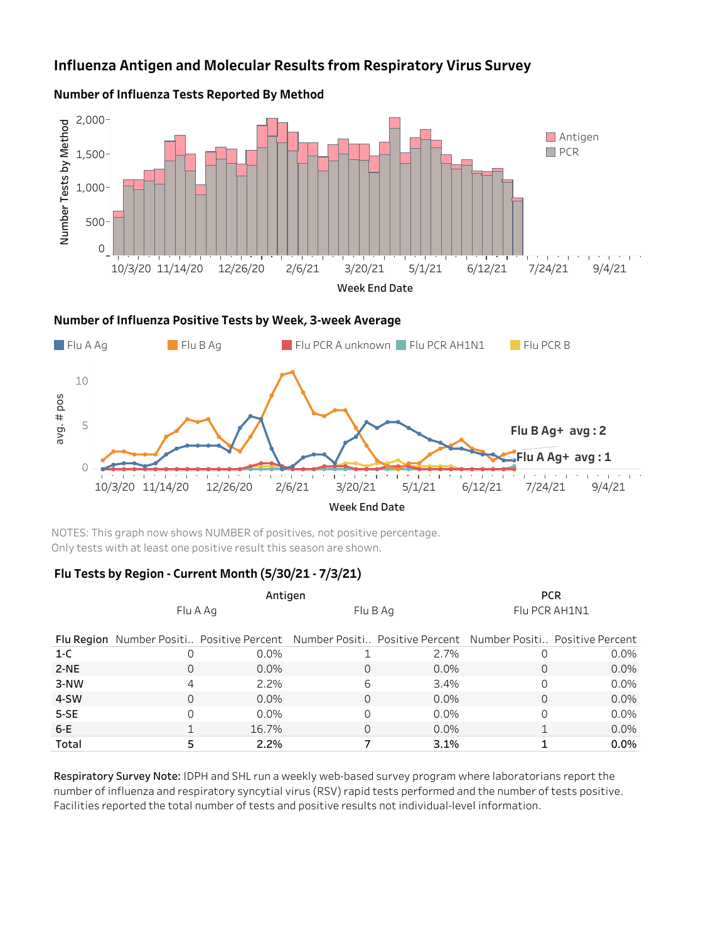# **Influenza Antigen and Molecular Results from Respiratory Virus Survey**



### **Number of Influenza Tests Reported By Method**

NOTES: This graph now shows NUMBER of positives, not positive percentage. Only tests with at least one positive result this season are shown.

## **FluTestsbyRegion-CurrentMonth(5/30/21-7/3/21)**

0

5

|        |          | Antigen                                                                                                 | <b>PCR</b> |         |               |         |
|--------|----------|---------------------------------------------------------------------------------------------------------|------------|---------|---------------|---------|
|        | Flu A Ag |                                                                                                         | Flu B Ag   |         | Flu PCR AH1N1 |         |
|        |          | Flu Region Number Positi Positive Percent Number Positi Positive Percent Number Positi Positive Percent |            |         |               |         |
| $1-C$  |          | $0.0\%$                                                                                                 |            | 2.7%    |               | $0.0\%$ |
| $2-NE$ |          | $0.0\%$                                                                                                 | 0          | $0.0\%$ | $\Omega$      | $0.0\%$ |
| 3-NW   | 4        | $2.2\%$                                                                                                 | 6          | 3.4%    | $\Omega$      | $0.0\%$ |
| 4-SW   |          | $0.0\%$                                                                                                 | 0          | $0.0\%$ | $\Omega$      | $0.0\%$ |
| $5-SE$ |          | $0.0\%$                                                                                                 |            | $0.0\%$ | $\Omega$      | $0.0\%$ |
| $6-E$  |          | 16.7%                                                                                                   | 0          | $0.0\%$ |               | $0.0\%$ |
| Total  |          | 2.2%                                                                                                    |            | 3.1%    |               | 0.0%    |

10/3/20 11/14/20 12/26/20 2/6/21 3/20/21 5/1/21 6/12/21 7/24/21 9/4/21 Week End Date

**FluBAg+avg:2**

**FluAAg+avg:1**

**Contract** 

Respiratory Survey Note: IDPH and SHL run a weekly web-based survey program where laboratorians report the number of influenza and respiratory syncytial virus (RSV) rapid tests performed and the number of tests positive. Facilities reported the total number of tests and positive results not individual-level information.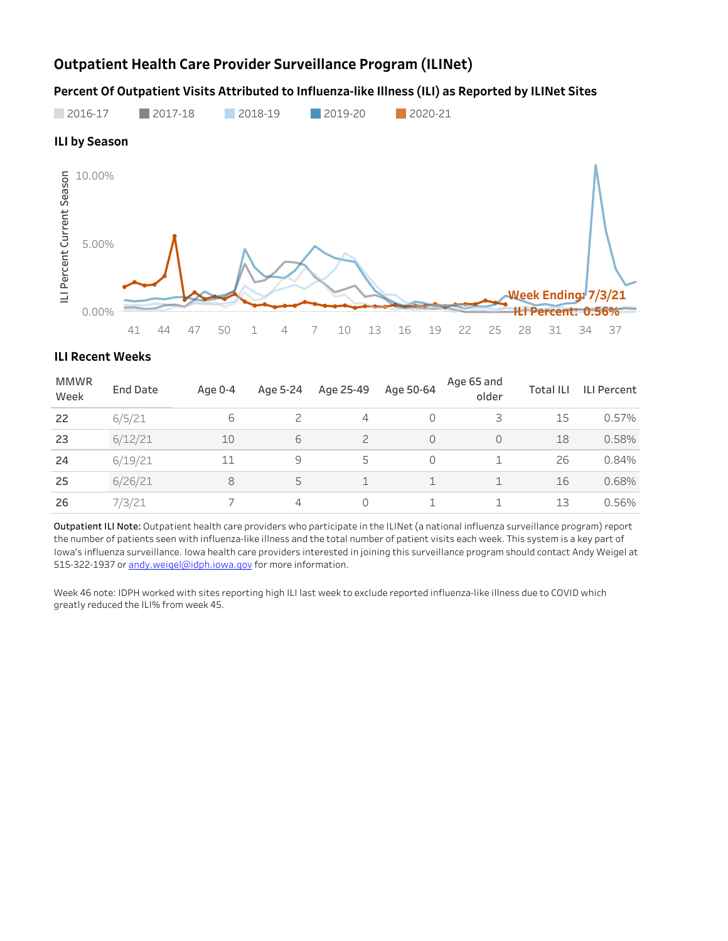# **Outpatient Health Care Provider Surveillance Program (ILINet)**

Percent Of Outpatient Visits Attributed to Influenza-like Illness (ILI) as Reported by ILINet Sites



#### **ILI Recent Weeks**

| <b>MMWR</b><br>Week | <b>End Date</b> | Age 0-4 | Age 5-24 | Age 25-49      | Age 50-64 | Age 65 and<br>older | <b>Total ILI</b> | <b>ILI Percent</b> |
|---------------------|-----------------|---------|----------|----------------|-----------|---------------------|------------------|--------------------|
| 22                  | 6/5/21          | 6       | 2        | 4              | 0         | 3                   | 15               | 0.57%              |
| 23                  | 6/12/21         | 10      | 6        | $\overline{c}$ | $\Omega$  |                     | 18               | 0.58%              |
| 24                  | 6/19/21         | 11      | 9        | 5              | 0         |                     | 26               | 0.84%              |
| 25                  | 6/26/21         | 8       | 5        |                | 1         |                     | 16               | 0.68%              |
| 26                  | 7/3/21          |         | 4        | $\Omega$       |           |                     | 13               | 0.56%              |

Outpatient ILI Note: Outpatient health care providers who participate in the ILINet (a national influenza surveillance program) report the number of patients seen with influenza-like illness and the total number of patient visits each week. This system is a key part of Iowa's influenza surveillance. Iowa health care providers interested in joining this surveillance program should contact Andy Weigel at 515-322-1937 or andy.weigel@idph.iowa.gov for more information.

Week 46 note: IDPH worked with sites reporting high ILI last week to exclude reported influenza-like illness due to COVID which greatly reduced the ILI% from week 45.